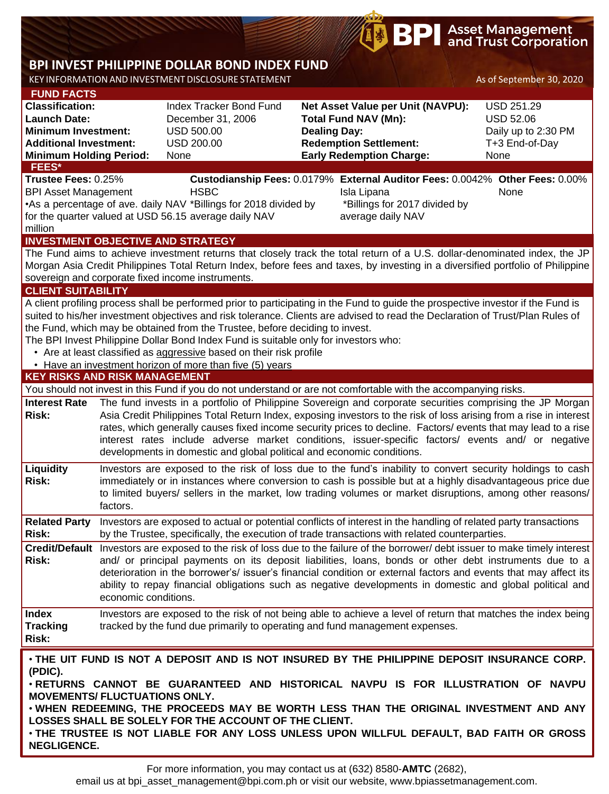# **BPI** Asset Management

## **BPI INVEST PHILIPPINE DOLLAR BOND INDEX FUND**

KEY INFORMATIONAND INVESTMENT DISCLOSURE STATEMENT As of September 30, 2020

| <u>KET 1111 ONTHAIR STORA</u><br><b>FUND FACTS</b>                                                                                                                                   |                                                                                                                                                                                                                                      |                                                                                      |                                                                                                                                   | s of beptember bo, zoze |  |  |  |  |  |
|--------------------------------------------------------------------------------------------------------------------------------------------------------------------------------------|--------------------------------------------------------------------------------------------------------------------------------------------------------------------------------------------------------------------------------------|--------------------------------------------------------------------------------------|-----------------------------------------------------------------------------------------------------------------------------------|-------------------------|--|--|--|--|--|
| <b>Classification:</b>                                                                                                                                                               |                                                                                                                                                                                                                                      | Index Tracker Bond Fund                                                              | Net Asset Value per Unit (NAVPU):                                                                                                 | <b>USD 251.29</b>       |  |  |  |  |  |
| <b>Launch Date:</b>                                                                                                                                                                  |                                                                                                                                                                                                                                      | December 31, 2006                                                                    | <b>Total Fund NAV (Mn):</b>                                                                                                       | <b>USD 52.06</b>        |  |  |  |  |  |
| <b>Minimum Investment:</b>                                                                                                                                                           |                                                                                                                                                                                                                                      | <b>USD 500.00</b>                                                                    | <b>Dealing Day:</b>                                                                                                               | Daily up to 2:30 PM     |  |  |  |  |  |
| <b>Additional Investment:</b>                                                                                                                                                        |                                                                                                                                                                                                                                      | <b>USD 200.00</b>                                                                    | <b>Redemption Settlement:</b>                                                                                                     | T+3 End-of-Day          |  |  |  |  |  |
| <b>Minimum Holding Period:</b>                                                                                                                                                       |                                                                                                                                                                                                                                      | None                                                                                 | <b>Early Redemption Charge:</b>                                                                                                   | None                    |  |  |  |  |  |
| <b>FEES*</b>                                                                                                                                                                         |                                                                                                                                                                                                                                      |                                                                                      |                                                                                                                                   |                         |  |  |  |  |  |
| Trustee Fees: 0.25%                                                                                                                                                                  |                                                                                                                                                                                                                                      |                                                                                      | Custodianship Fees: 0.0179% External Auditor Fees: 0.0042% Other Fees: 0.00%                                                      |                         |  |  |  |  |  |
| <b>BPI Asset Management</b>                                                                                                                                                          |                                                                                                                                                                                                                                      | <b>HSBC</b>                                                                          | Isla Lipana                                                                                                                       | None                    |  |  |  |  |  |
|                                                                                                                                                                                      |                                                                                                                                                                                                                                      | •As a percentage of ave. daily NAV *Billings for 2018 divided by                     | *Billings for 2017 divided by                                                                                                     |                         |  |  |  |  |  |
|                                                                                                                                                                                      |                                                                                                                                                                                                                                      | for the quarter valued at USD 56.15 average daily NAV                                | average daily NAV                                                                                                                 |                         |  |  |  |  |  |
| million<br><b>INVESTMENT OBJECTIVE AND STRATEGY</b>                                                                                                                                  |                                                                                                                                                                                                                                      |                                                                                      |                                                                                                                                   |                         |  |  |  |  |  |
|                                                                                                                                                                                      |                                                                                                                                                                                                                                      |                                                                                      | The Fund aims to achieve investment returns that closely track the total return of a U.S. dollar-denominated index, the JP        |                         |  |  |  |  |  |
|                                                                                                                                                                                      |                                                                                                                                                                                                                                      |                                                                                      |                                                                                                                                   |                         |  |  |  |  |  |
| Morgan Asia Credit Philippines Total Return Index, before fees and taxes, by investing in a diversified portfolio of Philippine<br>sovereign and corporate fixed income instruments. |                                                                                                                                                                                                                                      |                                                                                      |                                                                                                                                   |                         |  |  |  |  |  |
| <b>CLIENT SUITABILITY</b>                                                                                                                                                            |                                                                                                                                                                                                                                      |                                                                                      |                                                                                                                                   |                         |  |  |  |  |  |
|                                                                                                                                                                                      |                                                                                                                                                                                                                                      |                                                                                      | A client profiling process shall be performed prior to participating in the Fund to guide the prospective investor if the Fund is |                         |  |  |  |  |  |
|                                                                                                                                                                                      |                                                                                                                                                                                                                                      |                                                                                      | suited to his/her investment objectives and risk tolerance. Clients are advised to read the Declaration of Trust/Plan Rules of    |                         |  |  |  |  |  |
|                                                                                                                                                                                      |                                                                                                                                                                                                                                      | the Fund, which may be obtained from the Trustee, before deciding to invest.         |                                                                                                                                   |                         |  |  |  |  |  |
|                                                                                                                                                                                      |                                                                                                                                                                                                                                      | The BPI Invest Philippine Dollar Bond Index Fund is suitable only for investors who: |                                                                                                                                   |                         |  |  |  |  |  |
|                                                                                                                                                                                      |                                                                                                                                                                                                                                      | • Are at least classified as aggressive based on their risk profile                  |                                                                                                                                   |                         |  |  |  |  |  |
|                                                                                                                                                                                      |                                                                                                                                                                                                                                      | • Have an investment horizon of more than five (5) years                             |                                                                                                                                   |                         |  |  |  |  |  |
| <b>KEY RISKS AND RISK MANAGEMENT</b>                                                                                                                                                 |                                                                                                                                                                                                                                      |                                                                                      |                                                                                                                                   |                         |  |  |  |  |  |
|                                                                                                                                                                                      |                                                                                                                                                                                                                                      |                                                                                      | You should not invest in this Fund if you do not understand or are not comfortable with the accompanying risks.                   |                         |  |  |  |  |  |
| <b>Interest Rate</b>                                                                                                                                                                 | The fund invests in a portfolio of Philippine Sovereign and corporate securities comprising the JP Morgan                                                                                                                            |                                                                                      |                                                                                                                                   |                         |  |  |  |  |  |
| <b>Risk:</b>                                                                                                                                                                         | Asia Credit Philippines Total Return Index, exposing investors to the risk of loss arising from a rise in interest<br>rates, which generally causes fixed income security prices to decline. Factors/ events that may lead to a rise |                                                                                      |                                                                                                                                   |                         |  |  |  |  |  |
|                                                                                                                                                                                      |                                                                                                                                                                                                                                      |                                                                                      |                                                                                                                                   |                         |  |  |  |  |  |
|                                                                                                                                                                                      |                                                                                                                                                                                                                                      | developments in domestic and global political and economic conditions.               | interest rates include adverse market conditions, issuer-specific factors/ events and/ or negative                                |                         |  |  |  |  |  |
|                                                                                                                                                                                      |                                                                                                                                                                                                                                      |                                                                                      |                                                                                                                                   |                         |  |  |  |  |  |
| Liquidity                                                                                                                                                                            |                                                                                                                                                                                                                                      |                                                                                      | Investors are exposed to the risk of loss due to the fund's inability to convert security holdings to cash                        |                         |  |  |  |  |  |
| <b>Risk:</b>                                                                                                                                                                         |                                                                                                                                                                                                                                      |                                                                                      | immediately or in instances where conversion to cash is possible but at a highly disadvantageous price due                        |                         |  |  |  |  |  |
|                                                                                                                                                                                      | factors.                                                                                                                                                                                                                             |                                                                                      | to limited buyers/ sellers in the market, low trading volumes or market disruptions, among other reasons/                         |                         |  |  |  |  |  |
|                                                                                                                                                                                      |                                                                                                                                                                                                                                      |                                                                                      |                                                                                                                                   |                         |  |  |  |  |  |
| <b>Related Party</b>                                                                                                                                                                 |                                                                                                                                                                                                                                      |                                                                                      | Investors are exposed to actual or potential conflicts of interest in the handling of related party transactions                  |                         |  |  |  |  |  |
| <b>Risk:</b>                                                                                                                                                                         |                                                                                                                                                                                                                                      |                                                                                      | by the Trustee, specifically, the execution of trade transactions with related counterparties.                                    |                         |  |  |  |  |  |
|                                                                                                                                                                                      |                                                                                                                                                                                                                                      |                                                                                      | Credit/Default Investors are exposed to the risk of loss due to the failure of the borrower/debt issuer to make timely interest   |                         |  |  |  |  |  |
| <b>Risk:</b>                                                                                                                                                                         |                                                                                                                                                                                                                                      |                                                                                      | and/ or principal payments on its deposit liabilities, loans, bonds or other debt instruments due to a                            |                         |  |  |  |  |  |
|                                                                                                                                                                                      |                                                                                                                                                                                                                                      |                                                                                      | deterioration in the borrower's/ issuer's financial condition or external factors and events that may affect its                  |                         |  |  |  |  |  |
|                                                                                                                                                                                      | economic conditions.                                                                                                                                                                                                                 |                                                                                      | ability to repay financial obligations such as negative developments in domestic and global political and                         |                         |  |  |  |  |  |
|                                                                                                                                                                                      |                                                                                                                                                                                                                                      |                                                                                      |                                                                                                                                   |                         |  |  |  |  |  |
| <b>Index</b>                                                                                                                                                                         |                                                                                                                                                                                                                                      |                                                                                      | Investors are exposed to the risk of not being able to achieve a level of return that matches the index being                     |                         |  |  |  |  |  |
| <b>Tracking</b>                                                                                                                                                                      |                                                                                                                                                                                                                                      |                                                                                      | tracked by the fund due primarily to operating and fund management expenses.                                                      |                         |  |  |  |  |  |
| <b>Risk:</b>                                                                                                                                                                         |                                                                                                                                                                                                                                      |                                                                                      |                                                                                                                                   |                         |  |  |  |  |  |
|                                                                                                                                                                                      |                                                                                                                                                                                                                                      |                                                                                      | . THE UIT FUND IS NOT A DEPOSIT AND IS NOT INSURED BY THE PHILIPPINE DEPOSIT INSURANCE CORP.                                      |                         |  |  |  |  |  |
| (PDIC).                                                                                                                                                                              |                                                                                                                                                                                                                                      |                                                                                      |                                                                                                                                   |                         |  |  |  |  |  |
| . RETURNS CANNOT BE GUARANTEED AND HISTORICAL NAVPU IS FOR ILLUSTRATION OF NAVPU                                                                                                     |                                                                                                                                                                                                                                      |                                                                                      |                                                                                                                                   |                         |  |  |  |  |  |
| <b>MOVEMENTS/ FLUCTUATIONS ONLY.</b>                                                                                                                                                 |                                                                                                                                                                                                                                      |                                                                                      |                                                                                                                                   |                         |  |  |  |  |  |

• **WHEN REDEEMING, THE PROCEEDS MAY BE WORTH LESS THAN THE ORIGINAL INVESTMENT AND ANY LOSSES SHALL BE SOLELY FOR THE ACCOUNT OF THE CLIENT.**

• **THE TRUSTEE IS NOT LIABLE FOR ANY LOSS UNLESS UPON WILLFUL DEFAULT, BAD FAITH OR GROSS NEGLIGENCE.**

email us at bpi\_asset\_management@bpi.com.ph or visit our website, www.bpiassetmanagement.com.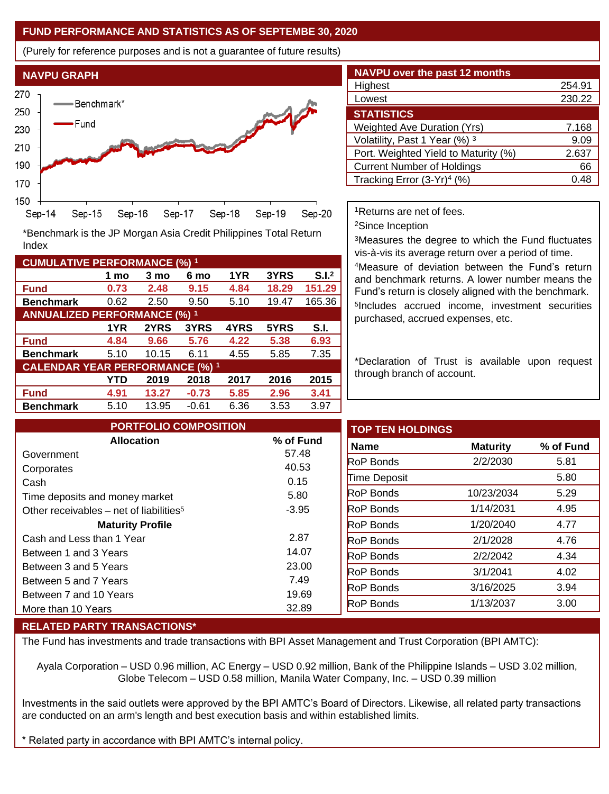### **FUND PERFORMANCE AND STATISTICS AS OF SEPTEMBE 30, 2020**

(Purely for reference purposes and is not a guarantee of future results)



**Fund 0.73 2.48 9.15 4.84 18.29 151.29 Benchmark** 0.62 2.50 9.50 5.10 19.47 165.36

\*Benchmark is the JP Morgan Asia Credit Philippines Total Return

**Fund 4.84 9.66 5.76 4.22 5.38 6.93 Benchmark** 5.10 10.15 6.11 4.55 5.85 7.35

**Fund 4.91 13.27 -0.73 5.85 2.96 3.41 Benchmark** 5.10 13.95 -0.61 6.36 3.53 3.97

**1 mo 3 mo 6 mo 1YR 3YRS S.I.<sup>2</sup>**

**1YR 2YRS 3YRS 4YRS 5YRS S.I.**

**YTD 2019 2018 2017 2016 2015**

| <b>NAVPU over the past 12 months</b>   |        |  |  |  |  |
|----------------------------------------|--------|--|--|--|--|
| Highest                                | 254.91 |  |  |  |  |
| Lowest                                 | 230.22 |  |  |  |  |
| <b>STATISTICS</b>                      |        |  |  |  |  |
| <b>Weighted Ave Duration (Yrs)</b>     | 7.168  |  |  |  |  |
| Volatility, Past 1 Year (%) 3          | 9.09   |  |  |  |  |
| Port. Weighted Yield to Maturity (%)   | 2.637  |  |  |  |  |
| <b>Current Number of Holdings</b>      | 66     |  |  |  |  |
| Tracking Error (3-Yr) <sup>4</sup> (%) | 0.48   |  |  |  |  |

<sup>1</sup>Returns are net of fees.

<sup>2</sup>Since Inception

<sup>3</sup>Measures the degree to which the Fund fluctuates vis-à-vis its average return over a period of time.

<sup>4</sup>Measure of deviation between the Fund's return and benchmark returns. A lower number means the Fund's return is closely aligned with the benchmark. 5 Includes accrued income, investment securities purchased, accrued expenses, etc.

\*Declaration of Trust is available upon request through branch of account.

| <b>PORTFOLIO COMPOSITION</b>                        |           | <b>TOP TEN HOLDINGS</b> |                 |           |
|-----------------------------------------------------|-----------|-------------------------|-----------------|-----------|
| <b>Allocation</b>                                   | % of Fund | <b>Name</b>             | <b>Maturity</b> | % of Fund |
| Government                                          | 57.48     | <b>RoP Bonds</b>        | 2/2/2030        | 5.81      |
| Corporates                                          | 40.53     |                         |                 |           |
| Cash                                                | 0.15      | Time Deposit            |                 | 5.80      |
| Time deposits and money market                      | 5.80      | <b>RoP</b> Bonds        | 10/23/2034      | 5.29      |
| Other receivables – net of liabilities <sup>5</sup> | $-3.95$   | <b>RoP Bonds</b>        | 1/14/2031       | 4.95      |
| <b>Maturity Profile</b>                             |           | <b>RoP</b> Bonds        | 1/20/2040       | 4.77      |
| Cash and Less than 1 Year                           | 2.87      | <b>RoP Bonds</b>        | 2/1/2028        | 4.76      |
| Between 1 and 3 Years                               | 14.07     | <b>RoP Bonds</b>        | 2/2/2042        | 4.34      |
| Between 3 and 5 Years                               | 23.00     | <b>RoP Bonds</b>        | 3/1/2041        | 4.02      |
| Between 5 and 7 Years                               | 7.49      |                         | 3/16/2025       | 3.94      |
| Between 7 and 10 Years                              | 19.69     | <b>RoP Bonds</b>        |                 |           |
| More than 10 Years                                  | 32.89     | <b>RoP Bonds</b>        | 1/13/2037       | 3.00      |

#### **RELATED PARTY TRANSACTIONS\***

**CUMULATIVE PERFORMANCE (%) <sup>1</sup>**

Index

**ANNUALIZED PERFORMANCE (%) <sup>1</sup>**

**CALENDAR YEAR PERFORMANCE (%) <sup>1</sup>**

The Fund has investments and trade transactions with BPI Asset Management and Trust Corporation (BPI AMTC):

Ayala Corporation – USD 0.96 million, AC Energy – USD 0.92 million, Bank of the Philippine Islands – USD 3.02 million, Globe Telecom – USD 0.58 million, Manila Water Company, Inc. – USD 0.39 million

Investments in the said outlets were approved by the BPI AMTC's Board of Directors. Likewise, all related party transactions are conducted on an arm's length and best execution basis and within established limits.

Related party in accordance with BPI AMTC's internal policy.